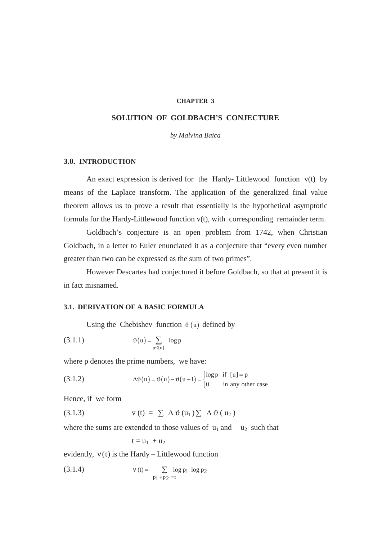#### **CHAPTER 3**

### **SOLUTION OF GOLDBACH'S CONJECTURE**

*by Malvina Baica* 

#### **3.0. INTRODUCTION**

An exact expression is derived for the Hardy- Littlewood function  $v(t)$  by means of the Laplace transform. The application of the generalized final value theorem allows us to prove a result that essentially is the hypothetical asymptotic formula for the Hardy-Littlewood function v(t), with corresponding remainder term.

Goldbach's conjecture is an open problem from 1742, when Christian Goldbach, in a letter to Euler enunciated it as a conjecture that "every even number greater than two can be expressed as the sum of two primes".

 However Descartes had conjectured it before Goldbach, so that at present it is in fact misnamed.

#### **3.1. DERIVATION OF A BASIC FORMULA**

Using the Chebishev function  $\vartheta(u)$  defined by

(3.1.1) 
$$
\vartheta(u) = \sum_{p \leq {u}} log p
$$

where p denotes the prime numbers, we have:

(3.1.2)  $\Delta \vartheta(u) = \vartheta(u) - \vartheta(u-1) = \begin{cases} \log p & \text{if } [u] = p \\ 0 & \text{in any other case} \end{cases}$  $\overline{\mathfrak{l}}$ 

Hence, if we form

(3.1.3) 
$$
v(t) = \sum \Delta \vartheta (u_1) \sum \Delta \vartheta (u_2)
$$

where the sums are extended to those values of  $u_1$  and  $u_2$  such that

$$
t = u_1 + u_2
$$

evidently,  $v(t)$  is the Hardy – Littlewood function

(3.1.4) 
$$
v(t) = \sum_{p_1 + p_2 = t} \log p_1 \log p_2
$$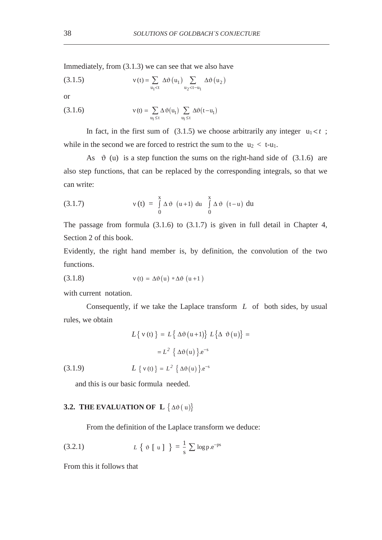Immediately, from (3.1.3) we can see that we also have

(3.1.5) 
$$
v(t) = \sum_{u_1 < t} \Delta \vartheta (u_1) \sum_{u_2 < t - u_1} \Delta \vartheta (u_2)
$$

or

(3.1.6) 
$$
v(t) = \sum_{u_1 \leq t} \Delta \vartheta(u_1) \sum_{u_1 \leq t} \Delta \vartheta(t - u_1)
$$

In fact, in the first sum of  $(3.1.5)$  we choose arbitrarily any integer  $u_1 < t$ ; while in the second we are forced to restrict the sum to the  $u_2 < t-u_1$ .

As  $\vartheta$  (u) is a step function the sums on the right-hand side of (3.1.6) are also step functions, that can be replaced by the corresponding integrals, so that we can write:

(3.1.7) 
$$
v(t) = \int_{0}^{x} \Delta \vartheta (u+1) du \int_{0}^{x} \Delta \vartheta (t-u) du
$$

The passage from formula (3.1.6) to (3.1.7) is given in full detail in Chapter 4, Section 2 of this book.

Evidently, the right hand member is, by definition, the convolution of the two functions.

(3.1.8) 
$$
v(t) = \Delta \vartheta(u) * \Delta \vartheta(u+1)
$$

with current notation.

Consequently, if we take the Laplace transform *L* of both sides, by usual rules, we obtain

$$
L\{v(t)\} = L\{\Delta\vartheta(u+1)\} L\{\Delta\vartheta(u)\} =
$$

$$
= L^2 \{\Delta\vartheta(u)\} e^{-s}
$$

$$
(3.1.9) \qquad L\{v(t)\} = L^2 \{\Delta\vartheta(u)\} e^{-s}
$$

and this is our basic formula needed.

### **3.2. THE EVALUATION OF L**  $\{\Delta\vartheta(u)\}$

From the definition of the Laplace transform we deduce:

$$
(3.2.1) \tL \{ \vartheta \text{ [ } u \text{ ] } \} = \frac{1}{s} \sum \log p.e^{-ps}
$$

From this it follows that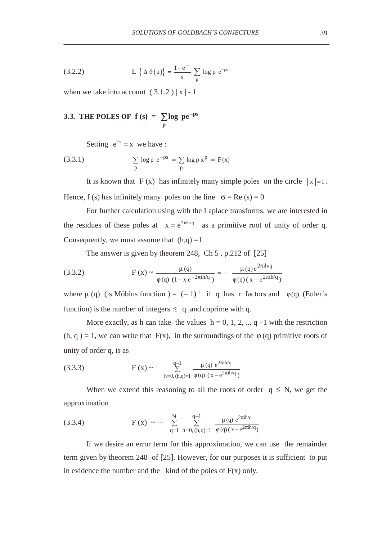(3.2.2) 
$$
L \{\Delta \vartheta(u)\} = \frac{1 - e^{-s}}{s} \sum_{p} \log p e^{-ps}
$$

when we take into account  $(3.1.2) | x | - 1$ 

#### **3.3. THE POLES OF f** (s) =  $\sum \log p e^{-}$ **p**  $\log$  pe<sup> $-ps$ </sup>

Setting  $e^{-s} = x$  we have :

(3.3.1) 
$$
\sum_{p} \log p e^{-ps} = \sum_{p} \log p x^{p} = F(x)
$$

It is known that F (x) has infinitely many simple poles on the circle  $|x| = 1$ . Hence, f (s) has infinitely many poles on the line  $\sigma = \text{Re}(s) = 0$ 

For further calculation using with the Laplace transforms, we are interested in the residues of these poles at  $x = e^{2\pi i h/q}$  as a primitive root of unity of order q. Consequently, we must assume that  $(h,q) = 1$ 

The answer is given by theorem 248, Ch 5, p.212 of [25]

(3.3.2) 
$$
F(x) \sim \frac{\mu(q)}{\phi(q) (1 - x e^{-2\pi i h/q})} = -\frac{\mu(q) e^{2\pi i h/q}}{\phi(q) (x - e^{2\pi i h/q})}
$$

where  $\mu$  (q) (is Möbius function ) = (-1)<sup>r</sup> if q has r factors and  $\varphi$ (q) (Euler's function) is the number of integers  $\leq$  q and coprime with q.

More exactly, as h can take the values  $h = 0, 1, 2, ...$  q -1 with the restriction (h, q) = 1, we can write that F(x), in the surroundings of the  $\varphi$ (q) primitive roots of unity of order q, is as

(3.3.3) 
$$
F(x) \sim - \sum_{h=0, (h,q)=1}^{q-1} \frac{\mu(q) e^{2\pi i h/q}}{\varphi(q) (x - e^{2\pi i h/q})}
$$

When we extend this reasoning to all the roots of order  $q \leq N$ , we get the approximation

(3.3.4) 
$$
F(x) \sim - \sum_{q=1}^{N} \sum_{h=0, (h,q)=1}^{q-1} \frac{\mu(q) e^{2\pi i h/q}}{\varphi(q) (x - e^{2\pi i h/q})}
$$

 If we desire an error term for this approximation, we can use the remainder term given by theorem 248 of [25]. However, for our purposes it is sufficient to put in evidence the number and the kind of the poles of  $F(x)$  only.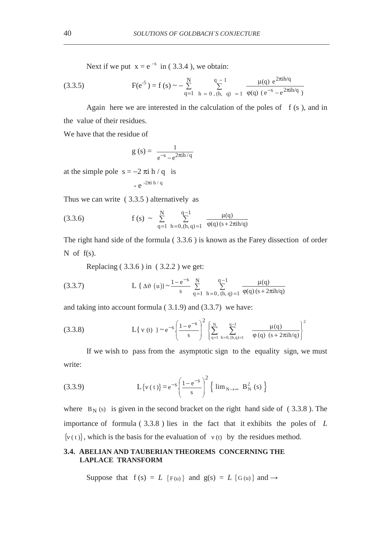Next if we put  $x = e^{-s}$  in (3.3.4), we obtain:

(3.3.5) 
$$
F(e^{-5}) = f(s) \sim -\sum_{q=1}^{N} \sum_{h=0, (h, q) = 1}^{q-1} \frac{\mu(q) e^{2\pi i h/q}}{\varphi(q) (e^{-s} - e^{2\pi i h/q})}
$$

Again here we are interested in the calculation of the poles of  $f(s)$ , and in the value of their residues.

We have that the residue of

$$
g(s) = \frac{1}{e^{-s} - e^{2\pi i h/q}}
$$

at the simple pole  $s = -2 \pi i h / q$  is

$$
-e^{-2\pi i\;h\;/\;q}
$$

Thus we can write ( 3.3.5 ) alternatively as

(3.3.6) 
$$
f (s) \sim \sum_{q=1}^{N} \sum_{h=0,(h,q)=1}^{q-1} \frac{\mu(q)}{\varphi(q)(s+2\pi ih/q)}
$$

The right hand side of the formula ( 3.3.6 ) is known as the Farey dissection of order N of f(s).

Replacing ( 3.3.6 ) in ( 3.2.2 ) we get:

(3.3.7) 
$$
L \{\Delta \vartheta (u)\} \sim \frac{1 - e^{-s}}{s} \sum_{q=1}^{N} \sum_{h=0, (h, q) = 1}^{q-1} \frac{\mu(q)}{\varphi(q) (s + 2\pi i h/q)}
$$

and taking into account formula ( 3.1.9) and (3.3.7) we have:

(3.3.8) 
$$
L\{v(t)\} \sim e^{-s} \left(\frac{1-e^{-s}}{s}\right)^2 \left\{\sum_{q=1}^{N} \sum_{h=0, (h,q)=1}^{q-1} \frac{\mu(q)}{\varphi(q) (s+2\pi i h/q)}\right\}^2
$$

If we wish to pass from the asymptotic sign to the equality sign, we must write:

(3.3.9) 
$$
L\{v(t)\} = e^{-s} \left(\frac{1-e^{-s}}{s}\right)^2 \left\{ \lim_{N \to \infty} B_N^2(s) \right\}
$$

where  $B_N(s)$  is given in the second bracket on the right hand side of (3.3.8). The importance of formula ( 3.3.8 ) lies in the fact that it exhibits the poles of *L*  $\{v(t)\}\$ , which is the basis for the evaluation of  $v(t)$  by the residues method.

### **3.4. ABELIAN AND TAUBERIAN THEOREMS CONCERNING THE LAPLACE TRANSFORM**

Suppose that  $f(s) = L \{F(u)\}\$ and  $g(s) = L \{G(u)\}\$ and  $\rightarrow$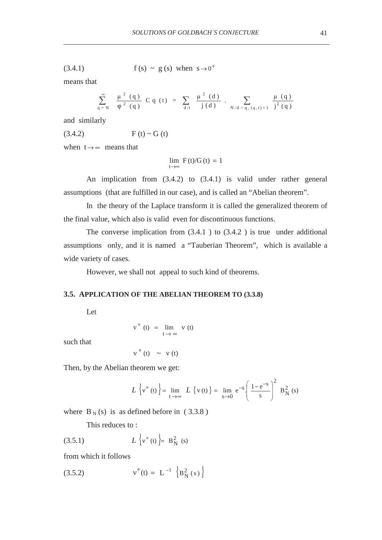(3.4.1) 
$$
f(s) \sim g(s)
$$
 when  $s \to 0^+$ 

means that

$$
\sum_{q>N}^{\infty} \frac{\mu^{2}(q)}{\varphi^{2}(q)} C q(t) = \sum_{d/t} \frac{\mu^{2}(d)}{j(d)} \cdot \sum_{N/d < q, (q,t)=1} \frac{\mu(q)}{j^{2}(q)}
$$

and similarly

$$
(3.4.2) \tF(t) \sim G(t)
$$

when  $t \rightarrow \infty$  means that

$$
\lim_{t\to\infty}\ F\left(t\right)\!/G\left(t\right)\,=\,1
$$

An implication from (3.4.2) to (3.4.1) is valid under rather general assumptions (that are fulfilled in our case), and is called an "Abelian theorem".

In the theory of the Laplace transform it is called the generalized theorem of the final value, which also is valid even for discontinuous functions.

The converse implication from  $(3.4.1)$  to  $(3.4.2)$  is true under additional assumptions only, and it is named a "Tauberian Theorem", which is available a wide variety of cases.

However, we shall not appeal to such kind of theorems.

#### **3.5. APPLICATION OF THE ABELIAN THEOREM TO (3.3.8)**

Let

$$
\nu^* (t) \ = \ \lim_{t \, \to \, \infty} \ v \ (t)
$$

such that

$$
v^*(t) \sim v(t)
$$

Then, by the Abelian theorem we get:

$$
L\left\{v^*(t)\right\} = \lim_{t \to \infty} L\left\{v(t)\right\} = \lim_{s \to 0} e^{-s} \left(\frac{1 - e^{-s}}{s}\right)^2 B_N^2(s)
$$

where  $B<sub>N</sub>$  (s) is as defined before in (3.3.8)

This reduces to :

(3.5.1) 
$$
L \{v^*(t)\}\ = \ B_N^2 \ (s)
$$

from which it follows

(3.5.2) 
$$
v^*(t) = L^{-1} \{B_N^2(s)\}
$$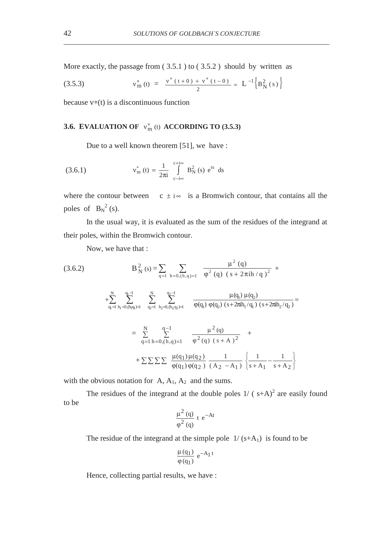More exactly, the passage from  $(3.5.1)$  to  $(3.5.2)$  should by written as

(3.5.3) 
$$
v_{m}^{*}(t) = \frac{v^{*}(t+0) + v^{*}(t-0)}{2} = L^{-1}\left\{B_{N}^{2}(s)\right\}
$$

because  $v*(t)$  is a discontinuous function

# **3.6. EVALUATION OF**  $v_m^*$  (t) **ACCORDING TO (3.5.3)**

Due to a well known theorem [51], we have :

(3.6.1) 
$$
v_m^*(t) = \frac{1}{2\pi i} \int_{c-i\infty}^{c+i\infty} B_N^2(s) e^{ts} ds
$$

where the contour between c  $\pm i \infty$  is a Bromwich contour, that contains all the poles of  $B_N^2$  (s).

In the usual way, it is evaluated as the sum of the residues of the integrand at their poles, within the Bromwich contour.

Now, we have that :

$$
(3.6.2) \tB2N (s) = \sum_{q=1}^{n} \sum_{h=0,(h,q)=1} \frac{\mu^{2} (q)}{\varphi^{2} (q) (s + 2\pi i h / q)^{2}} +
$$
  
+
$$
\sum_{q=1}^{N} \sum_{h_{1}=0,(h_{1}q)=1}^{q_{1}-1} \sum_{q=1}^{N} \sum_{h_{2}=0,(h_{2}q_{2})=1}^{q_{2}-1} \frac{\mu(q_{1}) \mu(q_{2})}{\varphi(q_{1}) \varphi(q_{2}) (s + 2\pi i h_{1}/q_{1}) (s + 2\pi i h_{2}/q_{2})} =
$$
  
=
$$
\sum_{q=1}^{N} \sum_{h=0,(h,q)=1}^{q-1} \frac{\mu^{2} (q)}{\varphi^{2} (q) (s + A)^{2}} +
$$
  
+
$$
\sum \sum \sum \sum \frac{\mu(q_{1}) \mu(q_{2})}{\varphi(q_{1}) \varphi(q_{2})} \frac{1}{(A_{2} - A_{1})} \left\{ \frac{1}{s + A_{1}} - \frac{1}{s + A_{2}} \right\}
$$

with the obvious notation for  $A$ ,  $A_1$ ,  $A_2$  and the sums.

The residues of the integrand at the double poles  $1/ (s+A)^2$  are easily found to be

$$
\frac{\mu^2\ (q)}{\phi^2\ (q)}\ t\ e^{-At}
$$

The residue of the integrand at the simple pole  $1/(s+A_1)$  is found to be

$$
\frac{\mu\left(q_{1}\right)}{\phi\left(q_{1}\right)}\;e^{-A_{1}\,t}
$$

Hence, collecting partial results, we have :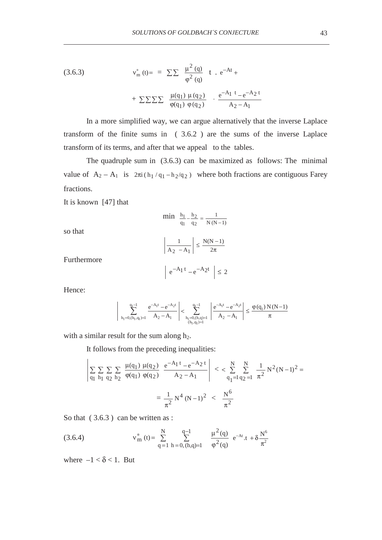(3.6.3) 
$$
v_{m}^{*}(t) = \sum \sum \frac{\mu^{2}(q)}{\phi^{2}(q)} t e^{-At} + \sum \sum \sum \sum \frac{\mu(q_{1}) \mu(q_{2})}{\phi(q_{1}) \phi(q_{2})} \cdot \frac{e^{-A_{1} t} - e^{-A_{2} t}}{A_{2} - A_{1}}
$$

In a more simplified way, we can argue alternatively that the inverse Laplace transform of the finite sums in ( 3.6.2 ) are the sums of the inverse Laplace transform of its terms, and after that we appeal to the tables.

The quadruple sum in (3.6.3) can be maximized as follows: The minimal value of  $A_2 - A_1$  is  $2\pi i (h_1 / q_1 - h_2 / q_2)$  where both fractions are contiguous Farey fractions.

It is known [47] that

$$
\min \frac{h_1}{q_1} - \frac{h_2}{q_2} = \frac{1}{N(N-1)}
$$

$$
\left| \frac{1}{A_2 - A_1} \right| \le \frac{N(N-1)}{2\pi}
$$

Furthermore

$$
\left| e^{-A_1 t} - e^{-A_2 t} \right| \le 2
$$

Hence:

so that

$$
\Bigg| \sum_{h_1=0,(h_1,q_1)=l}^{q_1-1} \frac{e^{-A_1t}-e^{-A_2t}}{A_2-A_1} \Bigg| < \sum_{\substack{h_1=0,(h,q)=l\\(h_1,q_1)=l}}^{q_1-1} \Bigg| \frac{e^{-A_1t}-e^{-A_2t}}{A_2-A_1} \Bigg| \leq \frac{\phi(q_1)\,N\,(N\!-\!1)}{\pi}
$$

with a similar result for the sum along  $h_2$ .

It follows from the preceding inequalities:

$$
\left| \sum_{q_1} \sum_{h_1} \sum_{q_2} \sum_{h_2} \frac{\mu(q_1) \mu(q_2)}{\phi(q_1) \phi(q_2)} \frac{e^{-A_1 t} - e^{-A_2 t}}{A_2 - A_1} \right| < \frac{N}{q_1 = 1} \sum_{q_2 = 1}^{N} \frac{1}{\pi^2} N^2 (N - 1)^2 =
$$
\n
$$
= \frac{1}{\pi^2} N^4 (N - 1)^2 < \frac{N^6}{\pi^2}
$$

So that  $(3.6.3)$  can be written as :

(3.6.4) 
$$
v_m^*(t) = \sum_{q=1}^N \sum_{h=0, (h,q)=1}^{q-1} \frac{\mu^2(q)}{\varphi^2(q)} e^{-At} \cdot t + \delta \frac{N^6}{\pi^2}
$$

where  $-1 < \delta < 1$ . But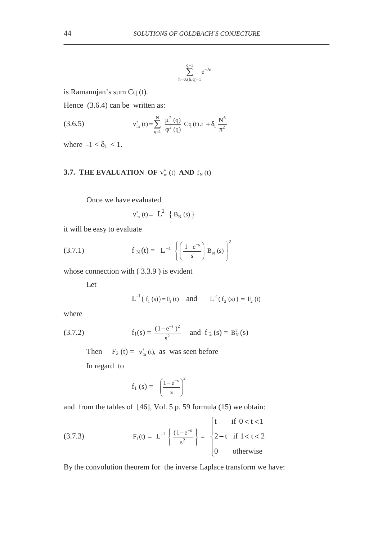$$
\sum_{h=0,(h,q)=1}^{q-1}e^{-At}
$$

is Ramanujan's sum Cq (t).

Hence  $(3.6.4)$  can be written as:

(3.6.5) 
$$
v_m^*(t) = \sum_{q=1}^N \frac{\mu^2(q)}{\phi^2(q)} Cq(t) \cdot t + \delta_1 \frac{N^6}{\pi^2}
$$

where  $-1 < \delta_1 < 1$ .

# **3.7. THE EVALUATION OF**  $v_m^*$  **(t) AND**  $f_N(t)$

Once we have evaluated

$$
v_{m}^{*}(t) = L^{2} \{ B_{N}(s) \}
$$

it will be easy to evaluate

(3.7.1) 
$$
f_N(t) = L^{-1} \left\{ \left( \frac{1 - e^{-s}}{s} \right) B_N(s) \right\}^2
$$

whose connection with ( 3.3.9 ) is evident

Let

$$
L^{-1}(f_1(s)) = F_1(t)
$$
 and  $L^{-1}(f_2(s)) = F_2(t)$ 

where

(3.7.2) 
$$
f_1(s) = \frac{(1 - e^{-s})^2}{s^2}
$$
 and  $f_2(s) = B_N^2(s)$ 

Then  $F_2(t) = v_m^*(t)$ , as was seen before

In regard to

$$
f_1(s) = \left(\frac{1-e^{-s}}{s}\right)^2
$$

and from the tables of [46], Vol. 5 p. 59 formula (15) we obtain:

(3.7.3) 
$$
F_1(t) = L^{-1} \left\{ \frac{(1 - e^{-s})}{s^2} \right\} = \begin{cases} t & \text{if } 0 < t < 1 \\ 2 - t & \text{if } 1 < t < 2 \\ 0 & \text{otherwise} \end{cases}
$$

By the convolution theorem for the inverse Laplace transform we have: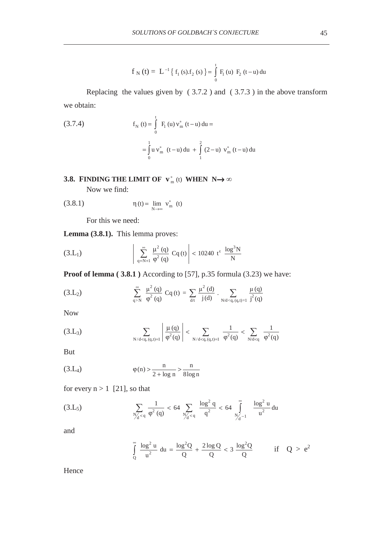$$
f_N(t) = L^{-1} \{ f_1(s) f_2(s) \} = \int_0^t F_1(u) F_2(t-u) du
$$

Replacing the values given by ( 3.7.2 ) and ( 3.7.3 ) in the above transform we obtain:

(3.7.4) 
$$
f_{N}(t) = \int_{0}^{t} F_{1}(u) v_{m}^{*}(t-u) du =
$$

$$
= \int_{0}^{1} u v_{m}^{*}(t-u) du + \int_{1}^{2} (2-u) v_{m}^{*}(t-u) du
$$

### **3.8. FINDING THE LIMIT OF**  $\mathbf{v}_{m}^{*}$  **(t) WHEN N** $\rightarrow \infty$

Now we find:

$$
\eta(t) = \lim_{N \to \infty} v_m^* (t)
$$

For this we need:

**Lemma (3.8.1).** This lemma proves:

(3.L<sub>1</sub>) 
$$
\left| \sum_{q=N+1}^{\infty} \frac{\mu^2(q)}{\phi^2(q)} Cq(t) \right| < 10240 \ t^{\epsilon} \frac{\log^3 N}{N}
$$

**Proof of lemma (3.8.1)** According to [57], p.35 formula (3.23) we have:

(3.L<sub>2</sub>) 
$$
\sum_{q>N}^{\infty} \frac{\mu^2(q)}{\phi^2(q)} Cq(t) = \sum_{d/t} \frac{\mu^2(d)}{j(d)} \cdot \sum_{N/d < q, (q,t)=1} \frac{\mu(q)}{j^2(q)}
$$

Now

$$
(3.L_3) \qquad \qquad \sum_{N/d < q, (q,t)=1} \left| \frac{\mu(q)}{\phi^2(q)} \right| < \sum_{N/d < q, (q,t)=1} \frac{1}{\phi^2(q)} < \sum_{N/d < q} \frac{1}{\phi^2(q)}
$$

But

(3.L4) n n (n) 2 log n 8log n ϕ> > +

for every  $n > 1$  [21], so that

(3.L<sub>5</sub>) 
$$
\sum_{N_{d} < q} \frac{1}{\varphi^{2}(q)} < 64 \sum_{N_{d} < q} \frac{\log^{2} q}{q^{2}} < 64 \int_{N_{d} - 1}^{\infty} \frac{\log^{2} u}{u^{2}} du
$$

and

$$
\int_{Q}^{\infty} \frac{\log^2 u}{u^2} du = \frac{\log^2 Q}{Q} + \frac{2 \log Q}{Q} < 3 \frac{\log^2 Q}{Q} \qquad \text{if} \quad Q > e^2
$$

Hence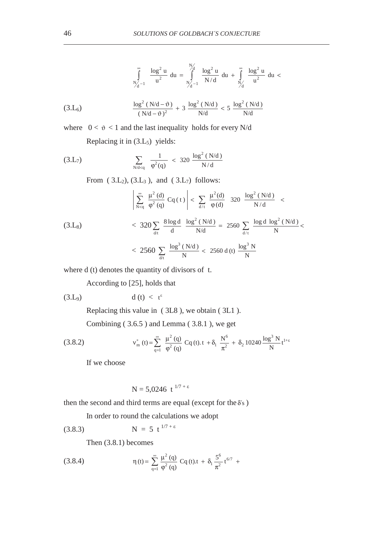$$
\int_{N_d-1}^{\infty} \frac{\log^2 u}{u^2} \ du = \int_{N_d-1}^{N_d} \frac{\log^2 u}{N/d} \ du + \int_{N_d}^{\infty} \frac{\log^2 u}{u^2} \ du <
$$

(3.L<sub>6</sub>) 
$$
\frac{\log^2 (N/d - \vartheta)}{(N/d - \vartheta)^2} + 3 \frac{\log^2 (N/d)}{N/d} < 5 \frac{\log^2 (N/d)}{N/d}
$$

where  $0 < \vartheta < 1$  and the last inequality holds for every N/d

Replacing it in (3.L5) yields:

(3.L<sub>7</sub>) 
$$
\sum_{N/d < q} \frac{1}{\phi^2(q)} < 320 \frac{\log^2(N/d)}{N/d}
$$

From  $(3.L_2)$ ,  $(3.L_3)$ , and  $(3.L_7)$  follows:

$$
\left| \sum_{N < q}^{\infty} \frac{\mu^2(d)}{\phi^2(q)} Cq(t) \right| < \sum_{d/t} \frac{\mu^2(d)}{\phi(d)} 320 \frac{\log^2(N/d)}{N/d} \n< 320 \sum_{d/t} \frac{8 \log d}{d} \frac{\log^2(N/d)}{N/d} = 2560 \sum_{d/t} \frac{\log d \log^2(N/d)}{N} \n< 2560 \sum_{d/t} \frac{\log^3(N/d)}{N} < 2560 d(t) \frac{\log^3 N}{N}
$$

where d (t) denotes the quantity of divisors of t.

According to [25], holds that

$$
(3.L9) \t d(t) < tε
$$

Replacing this value in ( 3L8 ), we obtain ( 3L1 ).

Combining ( 3.6.5 ) and Lemma ( 3.8.1 ), we get

(3.8.2) 
$$
v_m^*(t) = \sum_{q=1}^{\infty} \frac{\mu^2(q)}{\phi^2(q)} Cq(t).t + \delta_1 \frac{N^6}{\pi^2} + \delta_2 10240 \frac{\log^3 N}{N} t^{1+\epsilon}
$$

If we choose

$$
N = 5{,}0246 \text{ t}^{1/7 + \epsilon}
$$

then the second and third terms are equal (except for the δ´s )

In order to round the calculations we adopt

$$
(3.8.3) \t\t\t N = 5 \t1^{77 + \epsilon}
$$

Then (3.8.1) becomes

(3.8.4) 
$$
\eta(t) = \sum_{q=1}^{\infty} \frac{\mu^2(q)}{\varphi^2(q)} Cq(t)t + \delta_1 \frac{5^6}{\pi^2} t^{6/7} +
$$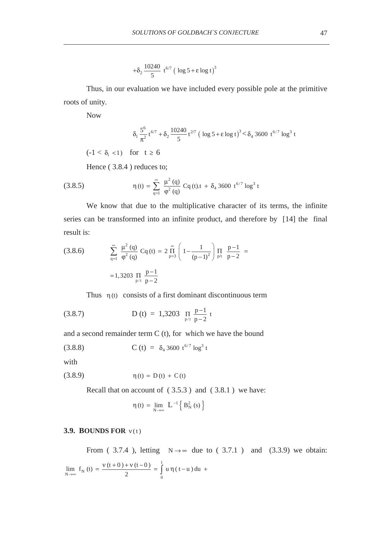$$
+\delta_2 \frac{10240}{5} t^{6/7} (\log 5 + \epsilon \log t)^3
$$

Thus, in our evaluation we have included every possible pole at the primitive roots of unity.

Now

$$
\delta_1 \frac{5^6}{\pi^2} t^{6/7} + \delta_2 \frac{10240}{5} t^{2/7} \left( \log 5 + \epsilon \log t \right)^3 < \delta_4 \, 3600 \ t^{6/7} \log^3 t
$$

 $(-1 < \delta_i < 1)$  for  $t \ge 6$ 

Hence ( 3.8.4 ) reduces to;

(3.8.5) 
$$
\eta(t) = \sum_{q=1}^{\infty} \frac{\mu^2(q)}{\phi^2(q)} Cq(t)t + \delta_4 3600 t^{6/7} \log^3 t
$$

We know that due to the multiplicative character of its terms, the infinite series can be transformed into an infinite product, and therefore by [14] the final result is:

(3.8.6) 
$$
\sum_{q=1}^{\infty} \frac{\mu^2(q)}{\varphi^2(q)} Cq(t) = 2 \prod_{p=3}^{\infty} \left( 1 - \frac{1}{(p-1)^2} \right) \prod_{p \nmid t} \frac{p-1}{p-2} =
$$

$$
= 1,3203 \prod_{p \nmid t} \frac{p-1}{p-2}
$$

Thus  $\eta(t)$  consists of a first dominant discontinuous term

(3.8.7) 
$$
D(t) = 1,3203 \prod_{p/t} \frac{p-1}{p-2} t
$$

and a second remainder term C (t), for which we have the bound

(3.8.8) 
$$
C(t) = \delta_4 3600 t^{6/7} \log^3 t
$$

with

(3.8.9) 
$$
\eta(t) = D(t) + C(t)
$$

Recall that on account of ( 3.5.3 ) and ( 3.8.1 ) we have:

$$
\eta\left(t\right)\,=\,\lim_{N\rightarrow\infty}\;L^{\,-1}\left\{\,B_{N}^{2}\left(s\right)\,\right\}
$$

#### **3.9. BOUNDS FOR**  $ν(t)$

From (3.7.4), letting  $N \rightarrow \infty$  due to (3.7.1) and (3.3.9) we obtain: 1  $N \rightarrow \infty$   $N(V)$  -  $\frac{1}{2}$  -  $\frac{1}{0}$  $\lim_{N \to \infty} f_N(t) = \frac{v(t+0) + v(t-0)}{2} = \int_0^1 u \eta(t-u) du$  $= \frac{v(t+0)+v(t-0)}{2} = \int u \eta(t-u) du +$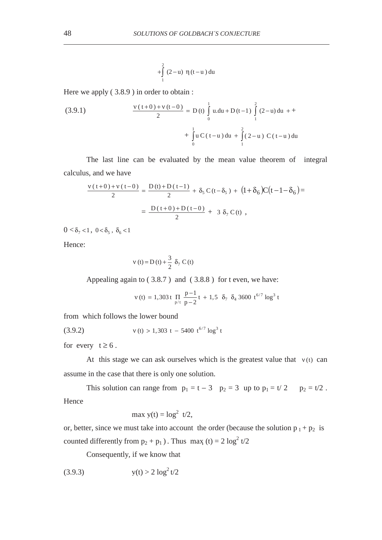$$
+\int_{1}^{2} (2-u) \eta (t-u) \, du
$$

Here we apply ( 3.8.9 ) in order to obtain :

(3.9.1) 
$$
\frac{v(t+0)+v(t-0)}{2} = D(t) \int_{0}^{1} u \cdot du + D(t-1) \int_{1}^{2} (2-u) du + + \int_{0}^{1} u C(t-u) du + \int_{1}^{2} (2-u) C(t-u) du
$$

The last line can be evaluated by the mean value theorem of integral calculus, and we have

$$
\frac{v(t+0)+v(t-0)}{2} = \frac{D(t)+D(t-1)}{2} + \delta_5 C(t-\delta_5) + (1+\delta_6)C(t-1-\delta_6) =
$$
  
= 
$$
\frac{D(t+0)+D(t-0)}{2} + 3 \delta_7 C(t),
$$

 $0 < \delta_7 < 1$ ,  $0 < \delta_5$ ,  $\delta_6 < 1$ 

Hence:

$$
v(t) = D(t) + \frac{3}{2} \delta_7 C(t)
$$

Appealing again to ( 3.8.7 ) and ( 3.8.8 ) for t even, we have:

$$
v(t) = 1,303 \, t \, \prod_{p/t} \frac{p-1}{p-2} \, t \, + 1,5 \, \delta_7 \, \delta_4 \, 3600 \, t^{6/7} \log^3 t
$$

from which follows the lower bound

(3.9.2) 
$$
v(t) > 1,303 \t t - 5400 \t t^{6/7} \log^3 t
$$

for every  $t \ge 6$ .

At this stage we can ask ourselves which is the greatest value that  $v(t)$  can assume in the case that there is only one solution.

This solution can range from  $p_1 = t - 3$   $p_2 = 3$  up to  $p_1 = t/2$   $p_2 = t/2$ . Hence

$$
\max y(t) = \log^2 t/2,
$$

or, better, since we must take into account the order (because the solution  $p_1 + p_2$  is counted differently from  $p_2 + p_1$ ). Thus max (t) = 2 log<sup>2</sup> t/2

Consequently, if we know that

$$
(3.9.3) \t y(t) > 2 \log^2 t/2
$$